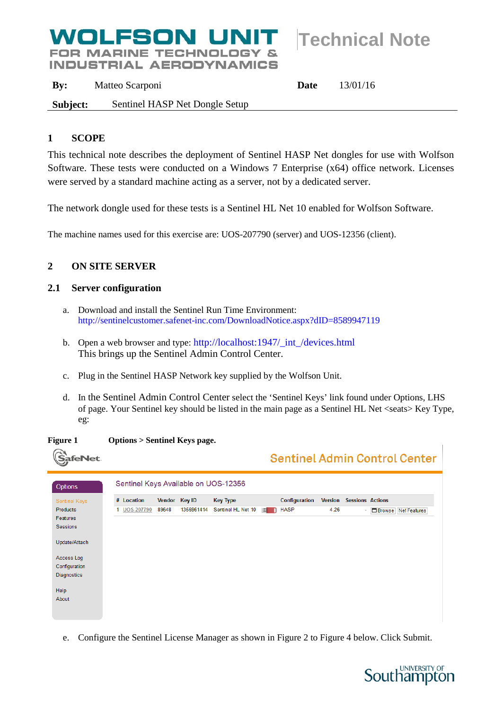# **Technical Note**

**FOR MARINE TECHNOLOGY & INDUSTRIAL AERODYNAMICS** 

WOLFSON UNIT

**By:** Matteo Scarponi **Date** 13/01/16 **Subject:** Sentinel HASP Net Dongle Setup

# **1 SCOPE**

This technical note describes the deployment of Sentinel HASP Net dongles for use with Wolfson Software. These tests were conducted on a Windows 7 Enterprise (x64) office network. Licenses were served by a standard machine acting as a server, not by a dedicated server.

The network dongle used for these tests is a Sentinel HL Net 10 enabled for Wolfson Software.

The machine names used for this exercise are: UOS-207790 (server) and UOS-12356 (client).

# **2 ON SITE SERVER**

# <span id="page-0-0"></span>**2.1 Server configuration**

- a. Download and install the Sentinel Run Time Environment: <http://sentinelcustomer.safenet-inc.com/DownloadNotice.aspx?dID=8589947119>
- b. Open a web browser and type: [http://localhost:1947/\\_int\\_/devices.html](http://localhost:1947/_int_/devices.html) This brings up the Sentinel Admin Control Center.
- c. Plug in the Sentinel HASP Network key supplied by the Wolfson Unit.
- d. In the Sentinel Admin Control Center select the 'Sentinel Keys' link found under Options, LHS of page. Your Sentinel key should be listed in the main page as a Sentinel HL Net <seats> Key Type, eg:
- **Figure 1 Options > Sentinel Keys page.**

| afeNet               |                                      |       |               |                    |          |               |                |                         | Sentinel Admin Control Center |
|----------------------|--------------------------------------|-------|---------------|--------------------|----------|---------------|----------------|-------------------------|-------------------------------|
| Options              | Sentinel Keys Available on UOS-12356 |       |               |                    |          |               |                |                         |                               |
| <b>Sentinel Keys</b> | # Location                           |       | Vendor Key ID | <b>Key Type</b>    |          | Configuration | <b>Version</b> | <b>Sessions Actions</b> |                               |
| <b>Products</b>      | 1 UOS-207790                         | 89648 | 1356961414    | Sentinel HL Net 10 | <b>A</b> | <b>HASP</b>   | 4.26           | ÷.                      | <b>ED</b> Browse Net Features |
| Features             |                                      |       |               |                    |          |               |                |                         |                               |
| <b>Sessions</b>      |                                      |       |               |                    |          |               |                |                         |                               |
| Update/Attach        |                                      |       |               |                    |          |               |                |                         |                               |
| Access Log           |                                      |       |               |                    |          |               |                |                         |                               |
| Configuration        |                                      |       |               |                    |          |               |                |                         |                               |
| <b>Diagnostics</b>   |                                      |       |               |                    |          |               |                |                         |                               |
| Help                 |                                      |       |               |                    |          |               |                |                         |                               |
| About                |                                      |       |               |                    |          |               |                |                         |                               |
|                      |                                      |       |               |                    |          |               |                |                         |                               |
|                      |                                      |       |               |                    |          |               |                |                         |                               |

e. Configure the Sentinel License Manager as shown in [Figure 2](#page-1-0) to [Figure 4](#page-1-1) below. Click Submit.

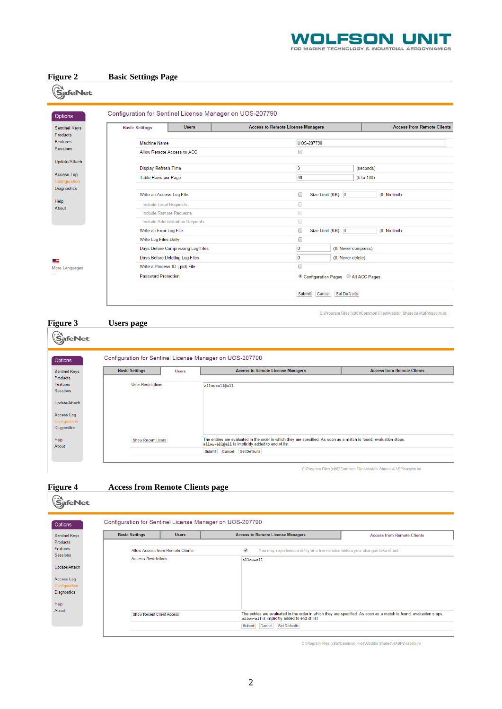

<span id="page-1-0"></span>

# <span id="page-1-1"></span>**Figure 4 Access from Remote Clients page**

| <b>Sentinel Keys</b>                           | <b>Basic Settings</b>      | <b>Users</b>                     | <b>Access to Remote License Managers</b>                                                                 | <b>Access from Remote Clients</b> |
|------------------------------------------------|----------------------------|----------------------------------|----------------------------------------------------------------------------------------------------------|-----------------------------------|
| <b>Products</b><br>Features<br><b>Sessions</b> |                            | Allow Access from Remote Clients | $\overline{\mathcal{L}}$<br>You may experience a delay of a few minutes before your changes take effect. |                                   |
|                                                | <b>Access Restrictions</b> |                                  | allow=all                                                                                                |                                   |
| Update/Attach                                  |                            |                                  |                                                                                                          |                                   |
| Access Log                                     |                            |                                  |                                                                                                          |                                   |
| Configuration                                  |                            |                                  |                                                                                                          |                                   |
| <b>Diagnostics</b>                             |                            |                                  |                                                                                                          |                                   |
|                                                |                            |                                  |                                                                                                          |                                   |
|                                                |                            |                                  |                                                                                                          |                                   |

C:\Program Files (x86)\Common Files\Aladdin Shared\HASP\hasplm.ini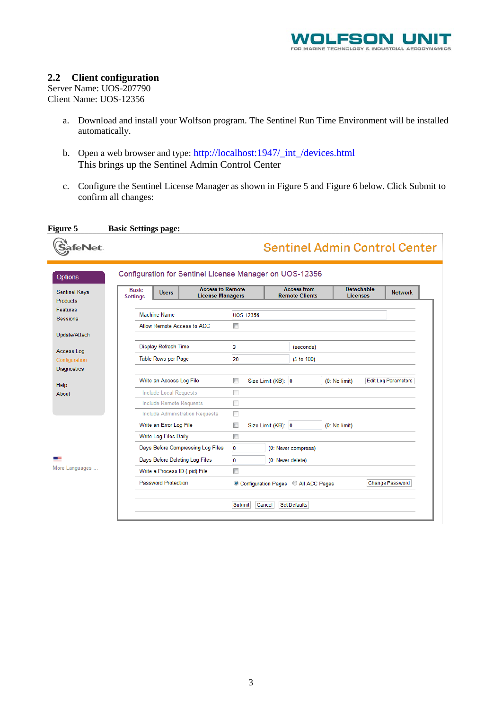

#### <span id="page-2-1"></span>**2.2 Client configuration**

Server Name: UOS-207790 Client Name: UOS-12356

- a. Download and install your Wolfson program. The Sentinel Run Time Environment will be installed automatically.
- b. Open a web browser and type: [http://localhost:1947/\\_int\\_/devices.html](http://localhost:1947/_int_/devices.html) This brings up the Sentinel Admin Control Center
- c. Configure the Sentinel License Manager as shown in [Figure 5](#page-2-0) and [Figure 6](#page-3-0) below. Click Submit to confirm all changes:

<span id="page-2-0"></span>

| Figure 5                    | <b>Basic Settings page:</b>                             |                                                    |               |                  |                    |                                             |                                      |                                      |                            |
|-----------------------------|---------------------------------------------------------|----------------------------------------------------|---------------|------------------|--------------------|---------------------------------------------|--------------------------------------|--------------------------------------|----------------------------|
| afeNet                      |                                                         |                                                    |               |                  |                    |                                             | <b>Sentinel Admin Control Center</b> |                                      |                            |
| <b>Options</b>              | Configuration for Sentinel License Manager on UOS-12356 |                                                    |               |                  |                    |                                             |                                      |                                      |                            |
| <b>Sentinel Keys</b>        | <b>Basic</b><br><b>Users</b><br><b>Settings</b>         | <b>Access to Remote</b><br><b>License Managers</b> |               |                  |                    | <b>Access from</b><br><b>Remote Clients</b> |                                      | <b>Detachable</b><br><b>Licenses</b> | <b>Network</b>             |
| <b>Products</b>             |                                                         |                                                    |               |                  |                    |                                             |                                      |                                      |                            |
| Features<br><b>Sessions</b> | <b>Machine Name</b>                                     |                                                    |               | <b>UOS-12356</b> |                    |                                             |                                      |                                      |                            |
|                             | Allow Remote Access to ACC                              |                                                    | $\Box$        |                  |                    |                                             |                                      |                                      |                            |
| Update/Attach               |                                                         |                                                    |               |                  |                    |                                             |                                      |                                      |                            |
| Access Log                  | Display Refresh Time                                    |                                                    | 3             |                  |                    | (seconds)                                   |                                      |                                      |                            |
| Configuration               | Table Rows per Page                                     |                                                    | 20            |                  |                    | (5 to 100)                                  |                                      |                                      |                            |
| <b>Diagnostics</b>          |                                                         |                                                    |               |                  |                    |                                             |                                      |                                      |                            |
| Help                        | Write an Access Log File                                |                                                    | $\Box$        |                  | Size Limit (KB): 0 |                                             | (0: No limit)                        |                                      | <b>Edit Log Parameters</b> |
| About                       | <b>Include Local Requests</b>                           |                                                    | <b>Talent</b> |                  |                    |                                             |                                      |                                      |                            |
|                             | <b>Include Remote Requests</b>                          |                                                    | П             |                  |                    |                                             |                                      |                                      |                            |
|                             | <b>Include Administration Requests</b>                  |                                                    |               |                  |                    |                                             |                                      |                                      |                            |
|                             | Write an Error Log File                                 |                                                    | $\Box$        |                  | Size Limit (KB): 0 |                                             | (0: No limit)                        |                                      |                            |
|                             | Write Log Files Daily                                   |                                                    | $\Box$        |                  |                    |                                             |                                      |                                      |                            |
|                             | Days Before Compressing Log Files                       |                                                    | $\bf{0}$      |                  |                    | (0: Never compress)                         |                                      |                                      |                            |
| ▔                           | Days Before Deleting Log Files                          |                                                    | $\mathbf{0}$  |                  |                    | (0: Never delete)                           |                                      |                                      |                            |
| More Languages              | Write a Process ID (.pid) File                          |                                                    | $\Box$        |                  |                    |                                             |                                      |                                      |                            |
|                             |                                                         |                                                    |               |                  |                    | © Configuration Pages © All ACC Pages       |                                      |                                      | Change Password            |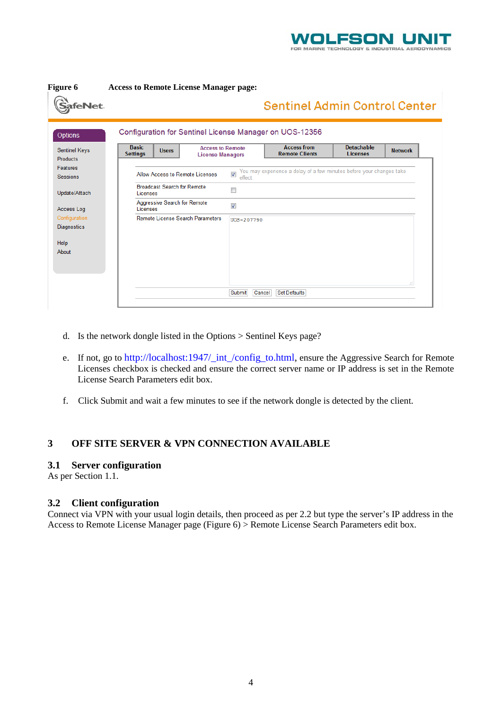

<span id="page-3-0"></span>

| <b>Figure 6</b>      | <b>Access to Remote License Manager page:</b>           |                                     |                                                                      |                                      |                |
|----------------------|---------------------------------------------------------|-------------------------------------|----------------------------------------------------------------------|--------------------------------------|----------------|
| SafeNet.             |                                                         |                                     | <b>Sentinel Admin Control Center</b>                                 |                                      |                |
| <b>Options</b>       | Configuration for Sentinel License Manager on UOS-12356 |                                     |                                                                      |                                      |                |
| <b>Sentinel Keys</b> | <b>Basic</b><br><b>Access to Remote</b><br><b>Users</b> |                                     | <b>Access from</b><br><b>Remote Clients</b>                          | <b>Detachable</b><br><b>Licenses</b> | <b>Network</b> |
| <b>Products</b>      | <b>Settings</b><br><b>License Managers</b>              |                                     |                                                                      |                                      |                |
| <b>Features</b>      |                                                         |                                     | You may experience a delay of a few minutes before your changes take |                                      |                |
| <b>Sessions</b>      | Allow Access to Remote Licenses                         | $\overline{\mathcal{A}}$<br>effect. |                                                                      |                                      |                |
|                      | <b>Broadcast Search for Remote</b>                      | $\Box$                              |                                                                      |                                      |                |
| Update/Attach        | Licenses                                                |                                     |                                                                      |                                      |                |
| Access Log           | Aggressive Search for Remote<br>Licenses                | $\overline{\mathsf{v}}$             |                                                                      |                                      |                |
| Configuration        | Remote License Search Parameters                        | UOS-207790                          |                                                                      |                                      |                |
| <b>Diagnostics</b>   |                                                         |                                     |                                                                      |                                      |                |
|                      |                                                         |                                     |                                                                      |                                      |                |
| Help                 |                                                         |                                     |                                                                      |                                      |                |
| About                |                                                         |                                     |                                                                      |                                      |                |
|                      |                                                         |                                     |                                                                      |                                      |                |
|                      |                                                         |                                     |                                                                      |                                      |                |
|                      |                                                         |                                     |                                                                      |                                      |                |
|                      |                                                         | Submit<br>Cancel                    | <b>Set Defaults</b>                                                  |                                      |                |
|                      |                                                         |                                     |                                                                      |                                      |                |

- d. Is the network dongle listed in the Options > Sentinel Keys page?
- e. If not, go to [http://localhost:1947/\\_int\\_/config\\_to.html,](http://localhost:1947/_int_/config_to.html) ensure the Aggressive Search for Remote Licenses checkbox is checked and ensure the correct server name or IP address is set in the Remote License Search Parameters edit box.
- f. Click Submit and wait a few minutes to see if the network dongle is detected by the client.

# **3 OFF SITE SERVER & VPN CONNECTION AVAILABLE**

#### **3.1 Server configuration**

As per Section [1.1.](#page-0-0)

### **3.2 Client configuration**

Connect via VPN with your usual login details, then proceed as per [2.2](#page-2-1) but type the server's IP address in the Access to Remote License Manager page [\(Figure 6\)](#page-3-0) > Remote License Search Parameters edit box.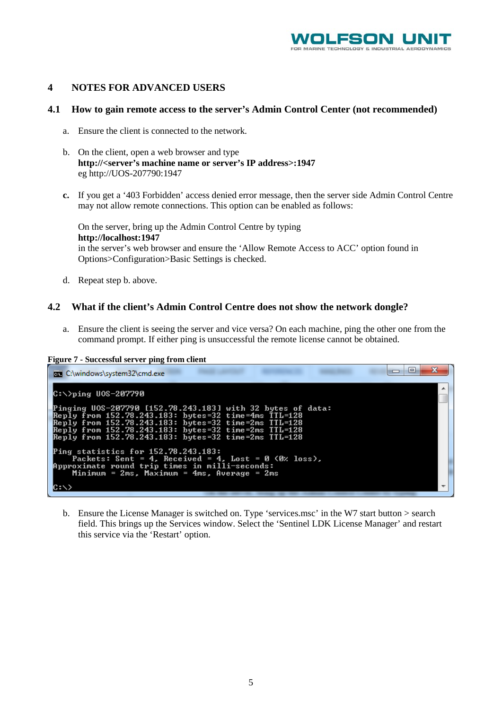

#### **4 NOTES FOR ADVANCED USERS**

#### **4.1 How to gain remote access to the server's Admin Control Center (not recommended)**

- a. Ensure the client is connected to the network.
- b. On the client, open a web browser and type **http://<server's machine name or server's IP address>:1947** eg http://UOS-207790:1947
- **c.** If you get a '403 Forbidden' access denied error message, then the server side Admin Control Centre may not allow remote connections. This option can be enabled as follows:

On the server, bring up the Admin Control Centre by typing **[http://localhost:1947](http://localhost:1947/)** in the server's web browser and ensure the 'Allow Remote Access to ACC' option found in Options>Configuration>Basic Settings is checked.

d. Repeat step b. above.

#### **4.2 What if the client's Admin Control Centre does not show the network dongle?**

a. Ensure the client is seeing the server and vice versa? On each machine, ping the other one from the command prompt. If either ping is unsuccessful the remote license cannot be obtained.

**Figure 7 - Successful server ping from client**



b. Ensure the License Manager is switched on. Type 'services.msc' in the W7 start button > search field. This brings up the Services window. Select the 'Sentinel LDK License Manager' and restart this service via the 'Restart' option.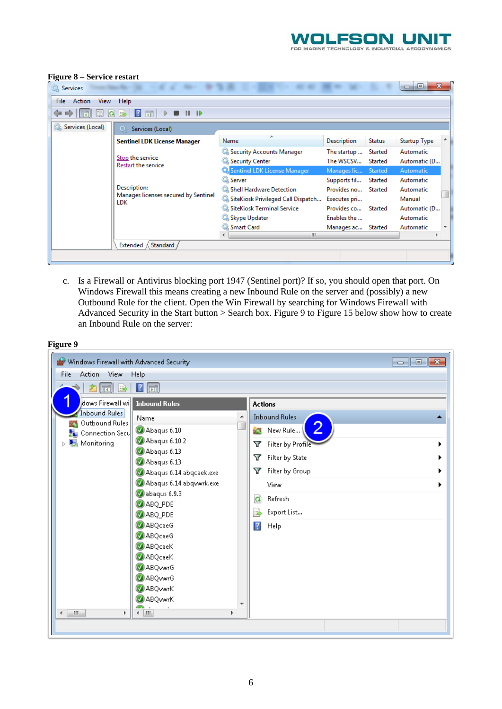

| Action<br>View<br>File<br>Services (Local) | Help<br>同<br>$\mathbb{D}$<br>Services (Local)<br>$\circ$<br><b>Sentinel LDK License Manager</b> |                                                                                   |                                             |                    |                                  |
|--------------------------------------------|-------------------------------------------------------------------------------------------------|-----------------------------------------------------------------------------------|---------------------------------------------|--------------------|----------------------------------|
|                                            |                                                                                                 |                                                                                   |                                             |                    |                                  |
|                                            |                                                                                                 |                                                                                   |                                             |                    |                                  |
|                                            |                                                                                                 | Name                                                                              | Description                                 | <b>Status</b>      | <b>Startup Type</b>              |
|                                            | Stop the service                                                                                | Security Accounts Manager<br>Security Center                                      | The startup  Started<br>The WSCSV           | Started            | Automatic<br>Automatic (D        |
|                                            | Restart the service                                                                             | Sentinel LDK License Manager                                                      | Manages lic Started                         |                    | Automatic                        |
|                                            | Description:<br>Manages licenses secured by Sentinel<br>LDK                                     | <b>C</b> Server<br>Shell Hardware Detection<br>SiteKiosk Privileged Call Dispatch | Supports fil<br>Provides no<br>Executes pri | Started<br>Started | Automatic<br>Automatic<br>Manual |
|                                            |                                                                                                 | <b>W. SiteKiosk Terminal Service</b><br>Skype Updater                             | Provides co<br>Enables the                  | Started            | Automatic (D<br>Automatic        |
|                                            |                                                                                                 | Smart Card<br>m.<br>∢                                                             | Manages ac Started                          |                    | Automatic                        |
|                                            | Standard<br>Extended                                                                            |                                                                                   |                                             |                    |                                  |

#### **Figure 8 – Service restart**

c. Is a Firewall or Antivirus blocking port 1947 (Sentinel port)? If so, you should open that port. On Windows Firewall this means creating a new Inbound Rule on the server and (possibly) a new Outbound Rule for the client. Open the Win Firewall by searching for Windows Firewall with Advanced Security in the Start button > Search box. [Figure 9](#page-5-0) to [Figure 15](#page-11-0) below show how to create an Inbound Rule on the server:

<span id="page-5-0"></span>

| Windows Firewall with Advanced Security   |                                                   |                         | $-x$<br>$\Box$<br>$\Box$ |
|-------------------------------------------|---------------------------------------------------|-------------------------|--------------------------|
| Action<br>View<br>File                    | Help                                              |                         |                          |
| $\left\  \mathbf{F} \right\ $<br>  湯<br>P | $\boxed{\blacksquare}$<br>$\vert$ <sup>2</sup>    |                         |                          |
| dows Firewall will Inbound Rules          |                                                   | <b>Actions</b>          |                          |
| <b>Inbound Rules</b><br>Outbound Rules    | Name<br>▲                                         | <b>Inbound Rules</b>    |                          |
| Connection Secu                           | Abaqus 6.10                                       | 2<br>ŽЗ<br>New Rule     |                          |
| Monitoring<br>Þ                           | Abaqus 6.10 2                                     | Filter by Profile<br>Y  |                          |
|                                           | Abaqus 6.13                                       | Filter by State<br>Y    |                          |
|                                           | $\bigcirc$ Abaqus 6.13<br>Abaqus 6.14 abqcaek.exe | Filter by Group<br>Y    |                          |
|                                           | Abaqus 6.14 abqvwrk.exe                           | View                    |                          |
|                                           | abaqus 6.9.3                                      |                         |                          |
|                                           | ABQ_PDE                                           | $\mathbf{G}$<br>Refresh |                          |
|                                           | ABQ_PDE                                           | B)<br>Export List       |                          |
|                                           | <b>ABQcaeG</b>                                    | $\overline{?}$<br>Help  |                          |
|                                           | <b>ABQcaeG</b>                                    |                         |                          |
|                                           | <b>ABQcaeK</b><br><b>ABQcaeK</b>                  |                         |                          |
|                                           | <b>ABQvwrG</b>                                    |                         |                          |
|                                           | <b>ABQvwrG</b>                                    |                         |                          |
|                                           | <b>O</b> ABQ wrK                                  |                         |                          |
|                                           | <b>ABQwwrK</b><br>÷                               |                         |                          |
| $\blacktriangleleft$<br>m.<br>Þ.          | <b>IM</b><br>∢<br>b.                              |                         |                          |
|                                           |                                                   |                         |                          |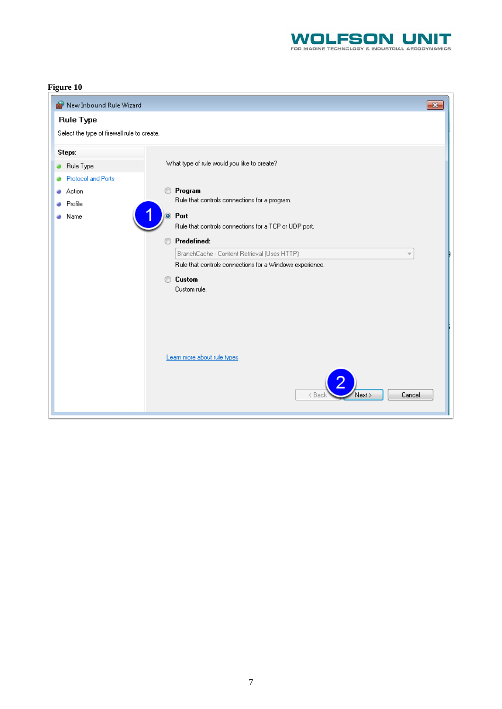

| New Inbound Rule Wizard<br>an '             | $\overline{\mathbf{x}}$                                                 |
|---------------------------------------------|-------------------------------------------------------------------------|
| <b>Rule Type</b>                            |                                                                         |
| Select the type of firewall rule to create. |                                                                         |
| <b>Steps:</b>                               |                                                                         |
| Rule Type<br>۰                              | What type of rule would you like to create?                             |
| Protocol and Ports                          |                                                                         |
| Action                                      | Program<br>⋒                                                            |
| Profile                                     | Rule that controls connections for a program.                           |
| Name                                        | O Port                                                                  |
|                                             | Rule that controls connections for a TCP or UDP port.                   |
|                                             | Predefined:<br>C                                                        |
|                                             | BranchCache - Content Retrieval (Uses HTTP)<br>$\overline{\phantom{a}}$ |
|                                             | Rule that controls connections for a Windows experience.                |
|                                             | Custom<br>◉                                                             |
|                                             | Custom rule.                                                            |
|                                             |                                                                         |
|                                             |                                                                         |
|                                             |                                                                         |
|                                             |                                                                         |
|                                             | Learn more about rule types                                             |
|                                             | Cancel<br>< Back<br>Next >                                              |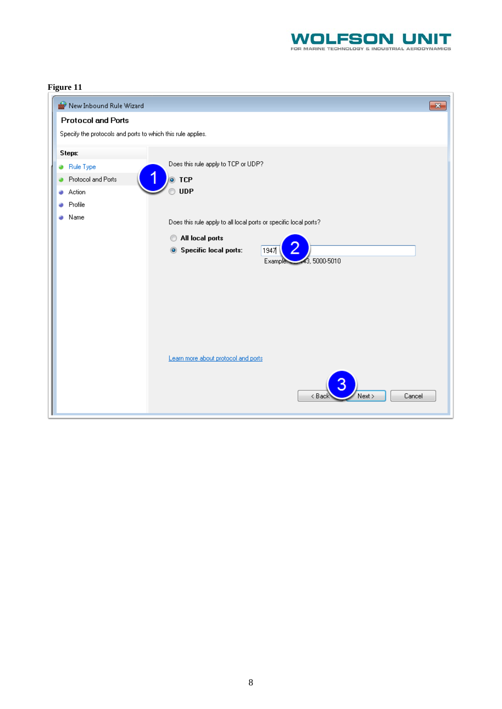

| New Inbound Rule Wizard                                     | $\mathbf{x}$                                                     |
|-------------------------------------------------------------|------------------------------------------------------------------|
| <b>Protocol and Ports</b>                                   |                                                                  |
| Specify the protocols and ports to which this rule applies. |                                                                  |
| Steps:                                                      |                                                                  |
| Rule Type                                                   | Does this rule apply to TCP or UDP?                              |
| Protocol and Ports                                          | $\bullet$ TCP                                                    |
| Action                                                      | <b>UDP</b>                                                       |
| Profile                                                     |                                                                  |
| Name<br>a                                                   | Does this rule apply to all local ports or specific local ports? |
|                                                             | All local ports<br>∩                                             |
|                                                             | <b>Specific local ports:</b><br>1947<br>$\circledcirc$           |
|                                                             | 43,5000-5010<br><b>Example:</b>                                  |
|                                                             |                                                                  |
|                                                             |                                                                  |
|                                                             |                                                                  |
|                                                             |                                                                  |
|                                                             |                                                                  |
|                                                             |                                                                  |
|                                                             | Learn more about protocol and ports                              |
|                                                             | Cancel<br>Next ><br>< Back                                       |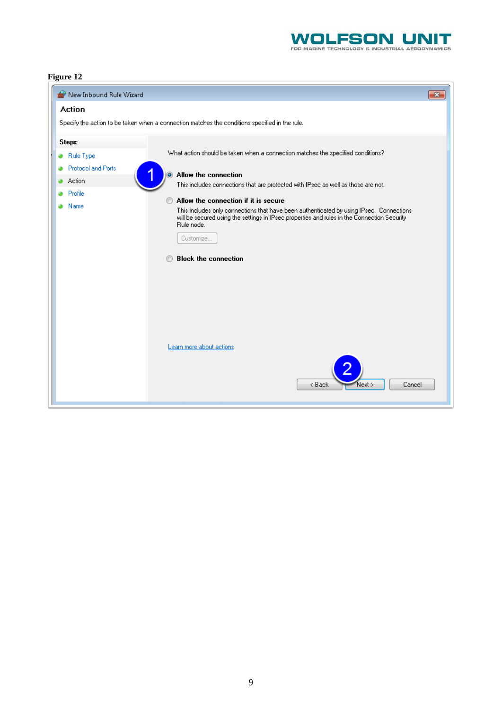

| New Inbound Rule Wizard             |                                                                                                                                                                                                                                                                                                                                                         | $\mathbf{x}$ |
|-------------------------------------|---------------------------------------------------------------------------------------------------------------------------------------------------------------------------------------------------------------------------------------------------------------------------------------------------------------------------------------------------------|--------------|
| Action                              |                                                                                                                                                                                                                                                                                                                                                         |              |
|                                     | Specify the action to be taken when a connection matches the conditions specified in the rule.                                                                                                                                                                                                                                                          |              |
| Steps:                              |                                                                                                                                                                                                                                                                                                                                                         |              |
| Rule Type                           | What action should be taken when a connection matches the specified conditions?                                                                                                                                                                                                                                                                         |              |
| <b>Protocol and Ports</b><br>Action | Allow the connection<br>This includes connections that are protected with IPsec as well as those are not.                                                                                                                                                                                                                                               |              |
| Profile<br>Name                     | Allow the connection if it is secure<br>m<br>This includes only connections that have been authenticated by using IPsec. Connections<br>will be secured using the settings in IPsec properties and rules in the Connection Security<br>Rule node.<br>Customize<br><b>Block the connection</b><br>Learn more about actions<br>< Back<br>Cancel<br>Next > |              |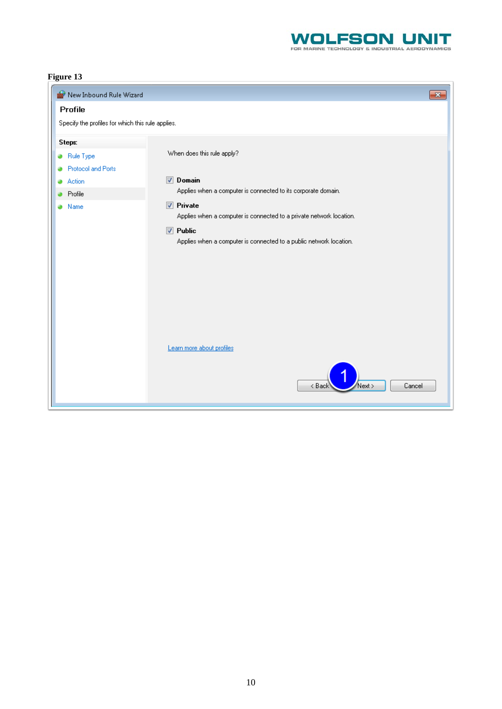

| New Inbound Rule Wizard                           | $\overline{\mathbf{x}}$                                                                                                                                                          |
|---------------------------------------------------|----------------------------------------------------------------------------------------------------------------------------------------------------------------------------------|
| Profile                                           |                                                                                                                                                                                  |
| Specify the profiles for which this rule applies. |                                                                                                                                                                                  |
| Steps:                                            |                                                                                                                                                                                  |
| Rule Type                                         | When does this rule apply?                                                                                                                                                       |
| Protocol and Ports<br>Action                      | Domain<br>$\overline{\mathcal{A}}$                                                                                                                                               |
| Profile                                           | Applies when a computer is connected to its corporate domain.                                                                                                                    |
| Name                                              | $\nabla$ Private<br>Applies when a computer is connected to a private network location.<br>$\nabla$ Public<br>Applies when a computer is connected to a public network location. |
|                                                   | Learn more about profiles<br>Cancel<br>< Back<br>Next >                                                                                                                          |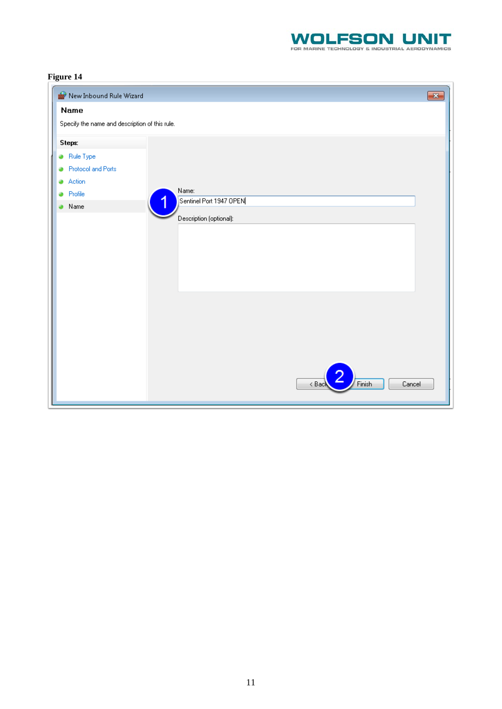

| New Inbound Rule Wizard                        |                                  | $\overline{\mathbf{x}}$ |
|------------------------------------------------|----------------------------------|-------------------------|
| Name                                           |                                  |                         |
| Specify the name and description of this rule. |                                  |                         |
| <b>Steps:</b>                                  |                                  |                         |
| Rule Type                                      |                                  |                         |
| <b>Protocol and Ports</b><br>۵                 |                                  |                         |
| Action<br>۵                                    |                                  |                         |
| Profile<br>۵<br>4                              | Name:<br>Sentinel Port 1947 OPEN |                         |
| Name                                           |                                  |                         |
|                                                | Description (optional):          |                         |
|                                                |                                  |                         |
|                                                |                                  |                         |
|                                                |                                  |                         |
|                                                |                                  |                         |
|                                                |                                  |                         |
|                                                |                                  |                         |
|                                                |                                  |                         |
|                                                |                                  |                         |
|                                                |                                  |                         |
|                                                |                                  |                         |
|                                                |                                  |                         |
|                                                | Finish<br>Cancel<br>< Back       |                         |
|                                                |                                  |                         |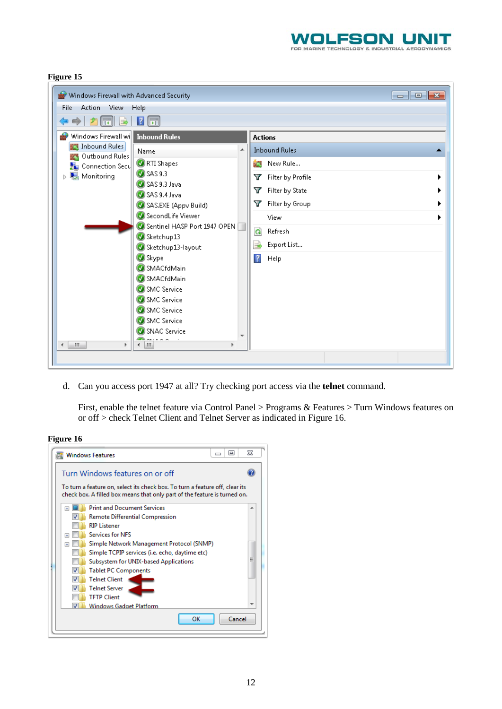

<span id="page-11-0"></span>

| Windows Firewall with Advanced Security                                                                                                                                                                                                                                                                                                                                                                          | $\Box$ $\Box$ $\mathbf{x}$                                                                                                                                                                                     |
|------------------------------------------------------------------------------------------------------------------------------------------------------------------------------------------------------------------------------------------------------------------------------------------------------------------------------------------------------------------------------------------------------------------|----------------------------------------------------------------------------------------------------------------------------------------------------------------------------------------------------------------|
| Action<br>View<br>File<br><b>Help</b>                                                                                                                                                                                                                                                                                                                                                                            |                                                                                                                                                                                                                |
| Fil<br>$\vert$ 2<br>⊜<br>Ini<br>l:=3<br>m                                                                                                                                                                                                                                                                                                                                                                        |                                                                                                                                                                                                                |
| Windows Firewall will<br><b>Inbound Rules</b><br><b>Inbound Rules</b><br>Name<br>Outbound Rules<br>RTI Shapes<br>Connection Secu<br><b>3</b> SAS 9.3<br><b>Monitoring</b><br>Þ<br>SAS 9.3 Java<br>SAS 9.4 Java<br>SAS.EXE (Appv Build)<br>SecondLife Viewer<br>Sentinel HASP Port 1947 OPEN<br>Sketchup13<br>Sketchup13-layout<br>Skype<br>SMACfdMain<br>SMACfdMain<br>SMC Service<br>SMC Service<br>SMC Service | <b>Actions</b><br><b>Inbound Rules</b><br>A.<br>ц.<br>New Rule<br>Filter by Profile<br>v<br>Filter by State<br>Y<br>Filter by Group<br>Y<br>View<br>Q<br>Refresh<br>B<br>Export List<br>$\overline{R}$<br>Help |
| SMC Service<br><b>O</b> SNAC Service<br>$\sim$ $\sim$ $\sim$<br>$\leftarrow$ 1.100<br>$\mathbb{H}\mathbb{H}$<br>Þ.<br>r                                                                                                                                                                                                                                                                                          |                                                                                                                                                                                                                |
|                                                                                                                                                                                                                                                                                                                                                                                                                  |                                                                                                                                                                                                                |

d. Can you access port 1947 at all? Try checking port access via the **telnet** command.

First, enable the telnet feature via Control Panel > Programs & Features > Turn Windows features on or off > check Telnet Client and Telnet Server as indicated in [Figure 16.](#page-11-1)

<span id="page-11-1"></span>**Figure 16**

|                                                                                                                                                           | <b>Windows Features</b>                        | $\Box$<br>▭ | X |
|-----------------------------------------------------------------------------------------------------------------------------------------------------------|------------------------------------------------|-------------|---|
|                                                                                                                                                           | Turn Windows features on or off                |             |   |
| To turn a feature on, select its check box. To turn a feature off, clear its<br>check box. A filled box means that only part of the feature is turned on. |                                                |             |   |
| $\overline{+}$                                                                                                                                            | <b>Print and Document Services</b>             |             |   |
|                                                                                                                                                           | <b>Remote Differential Compression</b>         |             |   |
|                                                                                                                                                           | <b>RIP Listener</b>                            |             |   |
| $\overline{+}$                                                                                                                                            | <b>Services for NFS</b>                        |             |   |
| 圧                                                                                                                                                         | Simple Network Management Protocol (SNMP)      |             |   |
|                                                                                                                                                           | Simple TCPIP services (i.e. echo, daytime etc) |             |   |
|                                                                                                                                                           | Subsystem for UNIX-based Applications          |             | Ξ |
|                                                                                                                                                           | <b>Tablet PC Components</b>                    |             |   |
|                                                                                                                                                           | <b>Telnet Client</b>                           |             |   |
|                                                                                                                                                           | <b>Telnet Server</b>                           |             |   |
|                                                                                                                                                           | <b>TFTP Client</b>                             |             |   |
|                                                                                                                                                           | Windows Gadget Platform                        |             |   |
|                                                                                                                                                           | OK                                             | Cancel      |   |